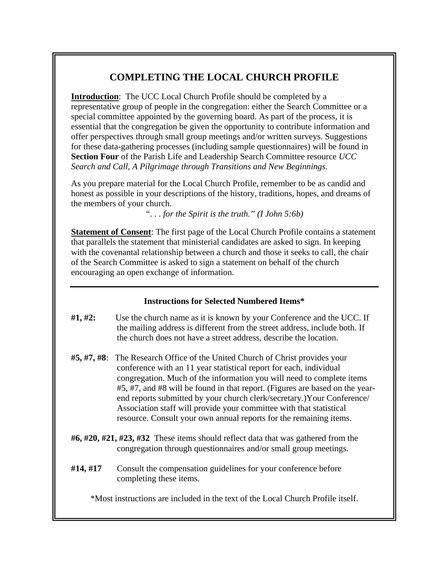# **COMPLETING THE LOCAL CHURCH PROFILE**

**Introduction:** The UCC Local Church Profile should be completed by a representative group of people in the congregation: either the Search Committee or a special committee appointed by the governing board. As part of the process, it is essential that the congregation be given the opportunity to contribute information and offer perspectives through small group meetings and/or written surveys. Suggestions for these data-gathering processes (including sample questionnaires) will be found in **Section Four** of the Parish Life and Leadership Search Committee resource *UCC Search and Call, A Pilgrimage through Transitions and New Beginnings*.

As you prepare material for the Local Church Profile, remember to be as candid and honest as possible in your descriptions of the history, traditions, hopes, and dreams of the members of your church.

*". . . for the Spirit is the truth." (I John 5:6b)* 

**Statement of Consent**: The first page of the Local Church Profile contains a statement that parallels the statement that ministerial candidates are asked to sign. In keeping with the covenantal relationship between a church and those it seeks to call, the chair of the Search Committee is asked to sign a statement on behalf of the church encouraging an open exchange of information.

# **Instructions for Selected Numbered Items\***

- **#1, #2:** Use the church name as it is known by your Conference and the UCC. If the mailing address is different from the street address, include both. If the church does not have a street address, describe the location.
- **#5, #7, #8**: The Research Office of the United Church of Christ provides your conference with an 11 year statistical report for each, individual congregation. Much of the information you will need to complete items #5, #7, and #8 will be found in that report. (Figures are based on the yearend reports submitted by your church clerk/secretary.)Your Conference/ Association staff will provide your committee with that statistical resource. Consult your own annual reports for the remaining items.
- **#6, #20, #21, #23, #32** These items should reflect data that was gathered from the congregation through questionnaires and/or small group meetings.
- **#14, #17** Consult the compensation guidelines for your conference before completing these items.

\*Most instructions are included in the text of the Local Church Profile itself.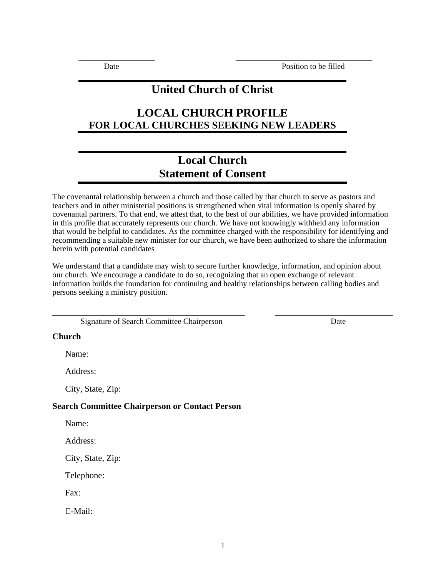# **United Church of Christ**

\_\_\_\_\_\_\_\_\_\_\_\_\_\_\_\_\_\_\_ \_\_\_\_\_\_\_\_\_\_\_\_\_\_\_\_\_\_\_\_\_\_\_\_\_\_\_\_\_\_\_\_\_\_

# **LOCAL CHURCH PROFILE FOR LOCAL CHURCHES SEEKING NEW LEADERS**

# **Local Church Statement of Consent**

The covenantal relationship between a church and those called by that church to serve as pastors and teachers and in other ministerial positions is strengthened when vital information is openly shared by covenantal partners. To that end, we attest that, to the best of our abilities, we have provided information in this profile that accurately represents our church. We have not knowingly withheld any information that would be helpful to candidates. As the committee charged with the responsibility for identifying and recommending a suitable new minister for our church, we have been authorized to share the information herein with potential candidates

We understand that a candidate may wish to secure further knowledge, information, and opinion about our church. We encourage a candidate to do so, recognizing that an open exchange of relevant information builds the foundation for continuing and healthy relationships between calling bodies and persons seeking a ministry position.

\_\_\_\_\_\_\_\_\_\_\_\_\_\_\_\_\_\_\_\_\_\_\_\_\_\_\_\_\_\_\_\_\_\_\_\_\_\_\_\_\_\_\_\_ \_\_\_\_\_\_\_\_\_\_\_\_\_\_\_\_\_\_\_\_\_\_\_\_\_\_\_

Signature of Search Committee Chairperson Date

### **Church**

Name:

Address:

City, State, Zip:

### **Search Committee Chairperson or Contact Person**

Name:

Address:

City, State, Zip:

Telephone:

Fax:

E-Mail: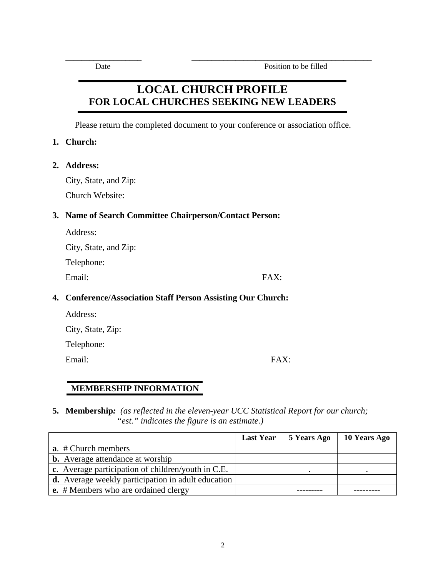# **LOCAL CHURCH PROFILE FOR LOCAL CHURCHES SEEKING NEW LEADERS**

\_\_\_\_\_\_\_\_\_\_\_\_\_\_\_\_\_\_\_ \_\_\_\_\_\_\_\_\_\_\_\_\_\_\_\_\_\_\_\_\_\_\_\_\_\_\_\_\_\_\_\_\_\_\_\_\_\_\_\_\_\_\_\_\_

Please return the completed document to your conference or association office.

## **1. Church:**

**2. Address:**

City, State, and Zip:

Church Website:

# **3. Name of Search Committee Chairperson/Contact Person:**

| Address: |
|----------|
|----------|

City, State, and Zip:

Telephone:

Email: FAX:

# **4. Conference/Association Staff Person Assisting Our Church:**

| Address:          |
|-------------------|
| City, State, Zip: |

Telephone:

Email: FAX:

# **MEMBERSHIP INFORMATION**

**5. Membership***: (as reflected in the eleven-year UCC Statistical Report for our church; "est." indicates the figure is an estimate.)* 

|                                                    | <b>Last Year</b> | 5 Years Ago | 10 Years Ago |
|----------------------------------------------------|------------------|-------------|--------------|
| <b>a</b> . # Church members                        |                  |             |              |
| <b>b.</b> Average attendance at worship            |                  |             |              |
| c. Average participation of children/youth in C.E. |                  |             |              |
| d. Average weekly participation in adult education |                  |             |              |
| <b>e.</b> # Members who are ordained clergy        |                  |             |              |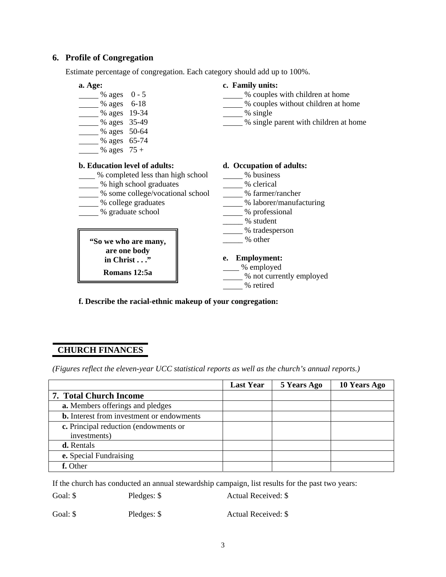### **6. Profile of Congregation**

Estimate percentage of congregation. Each category should add up to 100%.



**f. Describe the racial-ethnic makeup of your congregation:** 

## **CHURCH FINANCES**

٦ *(Figures reflect the eleven-year UCC statistical reports as well as the church's annual reports.)* 

|                                                  | <b>Last Year</b> | 5 Years Ago | 10 Years Ago |
|--------------------------------------------------|------------------|-------------|--------------|
| <b>7. Total Church Income</b>                    |                  |             |              |
| a. Members offerings and pledges                 |                  |             |              |
| <b>b.</b> Interest from investment or endowments |                  |             |              |
| c. Principal reduction (endowments or            |                  |             |              |
| investments)                                     |                  |             |              |
| d. Rentals                                       |                  |             |              |
| e. Special Fundraising                           |                  |             |              |
| f. Other                                         |                  |             |              |

If the church has conducted an annual stewardship campaign, list results for the past two years:

Goal: \$ Pledges: \$ Actual Received: \$

Goal: \$ Pledges: \$ Actual Received: \$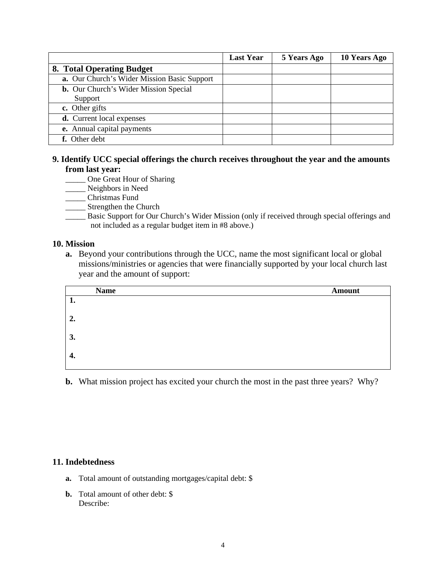|                                              | <b>Last Year</b> | 5 Years Ago | 10 Years Ago |
|----------------------------------------------|------------------|-------------|--------------|
| 8. Total Operating Budget                    |                  |             |              |
| a. Our Church's Wider Mission Basic Support  |                  |             |              |
| <b>b.</b> Our Church's Wider Mission Special |                  |             |              |
| Support                                      |                  |             |              |
| c. Other gifts                               |                  |             |              |
| <b>d.</b> Current local expenses             |                  |             |              |
| e. Annual capital payments                   |                  |             |              |
| f. Other debt                                |                  |             |              |

### **9. Identify UCC special offerings the church receives throughout the year and the amounts from last year:**

- \_\_\_\_\_ One Great Hour of Sharing
- \_\_\_\_\_ Neighbors in Need
- \_\_\_\_\_ Christmas Fund
- \_\_\_\_\_ Strengthen the Church
- \_\_\_\_\_ Basic Support for Our Church's Wider Mission (only if received through special offerings and not included as a regular budget item in #8 above.)

### **10. Mission**

**a.** Beyond your contributions through the UCC, name the most significant local or global missions/ministries or agencies that were financially supported by your local church last year and the amount of support:

|    | <b>Name</b> | <b>Amount</b> |
|----|-------------|---------------|
| 1. |             |               |
| 2. |             |               |
| 3. |             |               |
| 4. |             |               |

**b.** What mission project has excited your church the most in the past three years? Why?

## **11. Indebtedness**

- **a.** Total amount of outstanding mortgages/capital debt: \$
- **b.** Total amount of other debt: \$ Describe: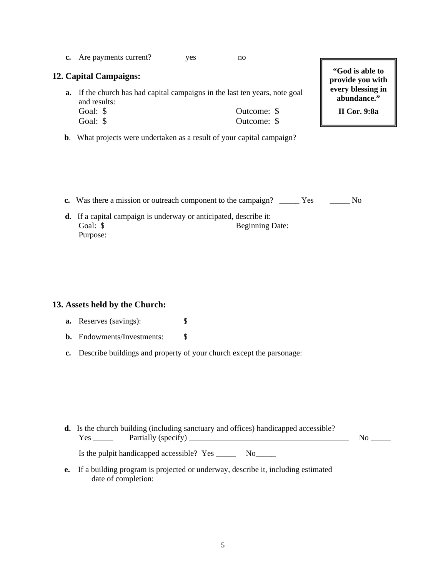**c.** Are payments current? yes yes no

### **12. Capital Campaigns:**

- **a.** If the church has had capital campaigns in the last ten years, note goal and results: Goal: \$ Outcome: \$ Goal: \$ Outcome: \$
- **b**. What projects were undertaken as a result of your capital campaign?

**"God is able to provide you with every blessing in abundance."** 

**II Cor. 9:8a** 

- **c.** Was there a mission or outreach component to the campaign? \_\_\_\_\_ Yes \_\_\_\_\_ No
- **d.** If a capital campaign is underway or anticipated, describe it: Goal: \$ Beginning Date: Purpose:

### **13. Assets held by the Church:**

- **a.** Reserves (savings):  $\qquad$  \$
- **b.** Endowments/Investments: \$
- **c.** Describe buildings and property of your church except the parsonage:

- **d.** Is the church building (including sanctuary and offices) handicapped accessible? Yes \_\_\_\_\_ Partially (specify) \_\_\_\_\_\_\_\_\_\_\_\_\_\_\_\_\_\_\_\_\_\_\_\_\_\_\_\_\_\_\_\_\_\_\_\_\_\_\_\_ No \_\_\_\_\_ Is the pulpit handicapped accessible? Yes \_\_\_\_\_\_\_ No\_\_\_\_\_\_
- **e.** If a building program is projected or underway, describe it, including estimated date of completion: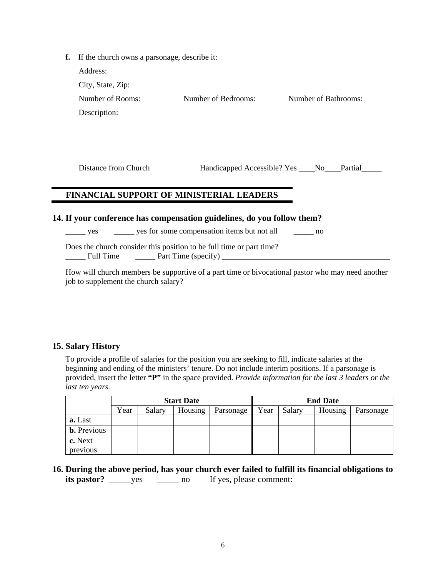| f. If the church owns a parsonage, describe it: |                     |                      |  |  |
|-------------------------------------------------|---------------------|----------------------|--|--|
| Address:                                        |                     |                      |  |  |
| City, State, Zip:                               |                     |                      |  |  |
| Number of Rooms:                                | Number of Bedrooms: | Number of Bathrooms: |  |  |
| Description:                                    |                     |                      |  |  |
|                                                 |                     |                      |  |  |

Distance from Church Handicapped Accessible? Yes \_\_\_\_No\_\_\_\_Partial\_\_\_\_\_

# **FINANCIAL SUPPORT OF MINISTERIAL LEADERS**

### **14. If your conference has compensation guidelines, do you follow them?**

yes \_\_\_\_\_\_ yes for some compensation items but not all \_\_\_\_\_\_\_ no

Does the church consider this position to be full time or part time?  $\frac{1}{\sqrt{2}}$  Full Time  $\frac{1}{\sqrt{2}}$  Part Time (specify)  $\frac{1}{\sqrt{2}}$ 

 How will church members be supportive of a part time or bivocational pastor who may need another job to supplement the church salary?

## **15. Salary History**

To provide a profile of salaries for the position you are seeking to fill, indicate salaries at the beginning and ending of the ministers' tenure. Do not include interim positions. If a parsonage is provided, insert the letter "P" in the space provided. *Provide information for the last 3 leaders or the last ten years.* 

|                    | <b>Start Date</b> |        |         |           | <b>End Date</b> |        |         |           |
|--------------------|-------------------|--------|---------|-----------|-----------------|--------|---------|-----------|
|                    | Year              | Salary | Housing | Parsonage | Year            | Salary | Housing | Parsonage |
| a. Last            |                   |        |         |           |                 |        |         |           |
| <b>b.</b> Previous |                   |        |         |           |                 |        |         |           |
| c. Next            |                   |        |         |           |                 |        |         |           |
| previous           |                   |        |         |           |                 |        |         |           |

**16. During the above period, has your church ever failed to fulfill its financial obligations to its pastor?** \_\_\_\_\_ yes \_\_\_\_\_\_ no If yes, please comment: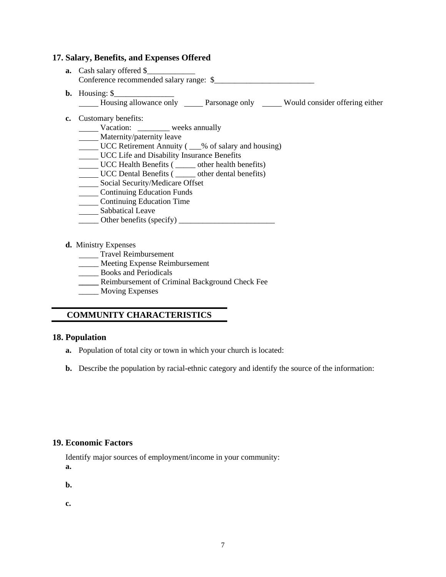### **17. Salary, Benefits, and Expenses Offered**

- **a.** Cash salary offered \$ Conference recommended salary range:  $\frac{1}{2}$
- **b.** Housing: \$
	- Housing allowance only <u>Parsonage only</u> Would consider offering either
- **c.** Customary benefits:
	- Vacation: \_\_\_\_\_\_\_\_ weeks annually
	- **Maternity/paternity leave**
	- UCC Retirement Annuity (  $\_\%$  of salary and housing)
	- UCC Life and Disability Insurance Benefits
	- UCC Health Benefits ( \_\_\_\_\_ other health benefits)
	- UCC Dental Benefits ( \_\_\_\_\_ other dental benefits)
	- Social Security/Medicare Offset
	- **Continuing Education Funds**
	- **Continuing Education Time**
	- Sabbatical Leave
	- $\frac{1}{\sqrt{1-\frac{1}{2}}}\text{Other benefits (specificity)}$

#### **d.** Ministry Expenses

- **Travel Reimbursement**
- \_\_\_\_\_ Meeting Expense Reimbursement
- **EXECUTE:** Books and Periodicals
- **\_\_\_\_\_** Reimbursement of Criminal Background Check Fee
- \_\_\_\_\_ Moving Expenses

# **COMMUNITY CHARACTERISTICS**

### **18. Population**

- **a.** Population of total city or town in which your church is located:
- **b.** Describe the population by racial-ethnic category and identify the source of the information:

### **19. Economic Factors**

Identify major sources of employment/income in your community:

**a.** 

**b.** 

**c.**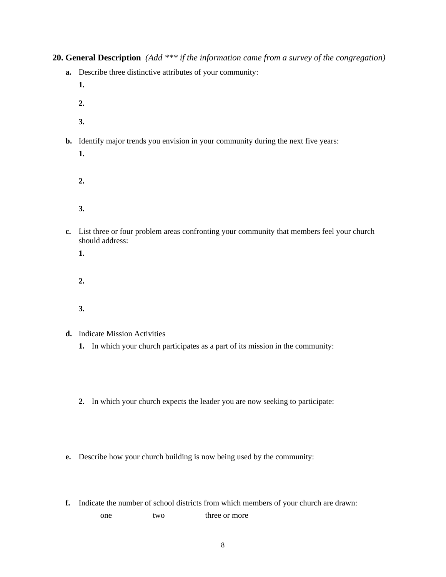**20. General Description** *(Add \*\*\* if the information came from a survey of the congregation)* 

- **a.** Describe three distinctive attributes of your community:
	- **1.**
	- **2.**
	- **3.**
- **b.** Identify major trends you envision in your community during the next five years:
	- **1.**
	- **2.**
	- **3.**
- **c.** List three or four problem areas confronting your community that members feel your church should address:
	- **1.**
	- **2.**
	- **3.**
- **d.** Indicate Mission Activities
	- **1.** In which your church participates as a part of its mission in the community:
	- **2.** In which your church expects the leader you are now seeking to participate:
- **e.** Describe how your church building is now being used by the community:
- **f.** Indicate the number of school districts from which members of your church are drawn:

one two two three or more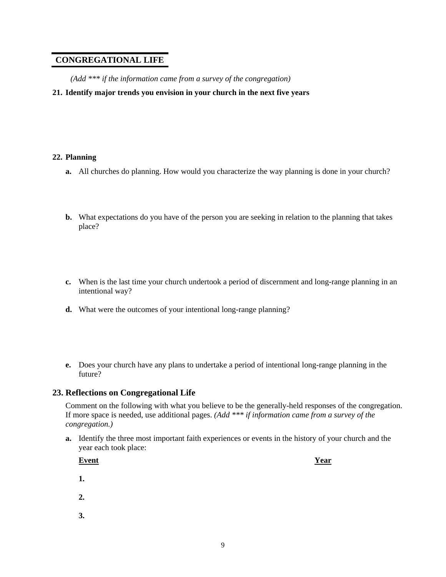# **CONGREGATIONAL LIFE**

*(Add \*\*\* if the information came from a survey of the congregation)* 

**21. Identify major trends you envision in your church in the next five years** 

#### **22. Planning**

- **a.** All churches do planning. How would you characterize the way planning is done in your church?
- **b.** What expectations do you have of the person you are seeking in relation to the planning that takes place?
- **c.** When is the last time your church undertook a period of discernment and long-range planning in an intentional way?
- **d.** What were the outcomes of your intentional long-range planning?
- **e.** Does your church have any plans to undertake a period of intentional long-range planning in the future?

### **23. Reflections on Congregational Life**

Comment on the following with what you believe to be the generally-held responses of the congregation. If more space is needed, use additional pages. *(Add \*\*\* if information came from a survey of the congregation.)* 

**a.** Identify the three most important faith experiences or events in the history of your church and the year each took place:

| <b>Event</b> | Year |
|--------------|------|
| 1.           |      |
| 2.           |      |

 **3.**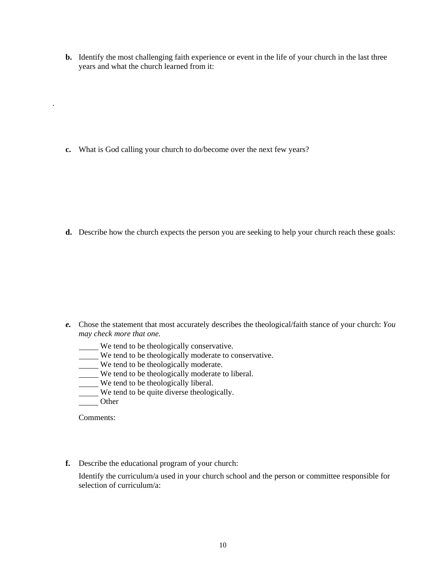**b.** Identify the most challenging faith experience or event in the life of your church in the last three years and what the church learned from it:

**c.** What is God calling your church to do/become over the next few years?

**d.** Describe how the church expects the person you are seeking to help your church reach these goals:

- *e.* Chose the statement that most accurately describes the theological/faith stance of your church: *You may check more that one.* 
	- We tend to be theologically conservative.
	- We tend to be theologically moderate to conservative.
	- $\overline{\phantom{a}}$  We tend to be theologically moderate.
	- We tend to be theologically moderate to liberal.
	- We tend to be theologically liberal.
	- We tend to be quite diverse theologically.
	- **Other**

.

Comments:

**f.** Describe the educational program of your church:

Identify the curriculum/a used in your church school and the person or committee responsible for selection of curriculum/a: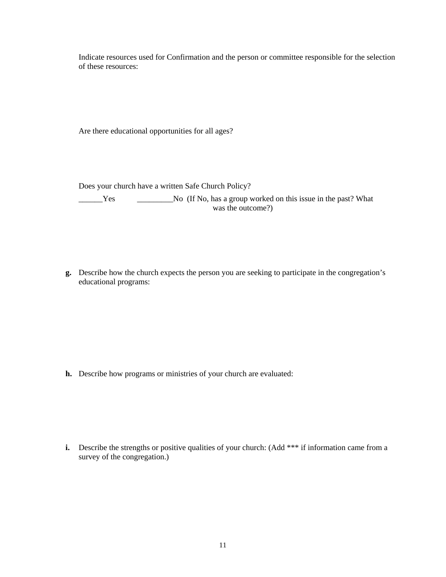Indicate resources used for Confirmation and the person or committee responsible for the selection of these resources:

Are there educational opportunities for all ages?

Does your church have a written Safe Church Policy?

The Secret of the No. (If No, has a group worked on this issue in the past? What was the outcome?)

**g.** Describe how the church expects the person you are seeking to participate in the congregation's educational programs:

 **h.** Describe how programs or ministries of your church are evaluated:

**i.** Describe the strengths or positive qualities of your church: (Add \*\*\* if information came from a survey of the congregation.)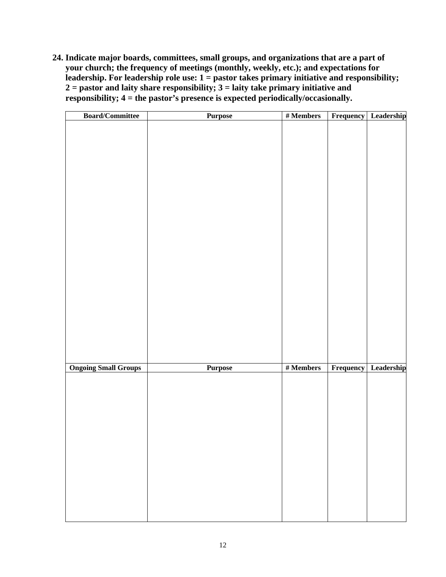**24. Indicate major boards, committees, small groups, and organizations that are a part of your church; the frequency of meetings (monthly, weekly, etc.); and expectations for leadership. For leadership role use: 1 = pastor takes primary initiative and responsibility; 2 = pastor and laity share responsibility; 3 = laity take primary initiative and responsibility; 4 = the pastor's presence is expected periodically/occasionally.** 

| <b>Board/Committee</b>      | <b>Purpose</b> | $\#$ Members | Frequency Leadership        |
|-----------------------------|----------------|--------------|-----------------------------|
|                             |                |              |                             |
|                             |                |              |                             |
|                             |                |              |                             |
|                             |                |              |                             |
|                             |                |              |                             |
|                             |                |              |                             |
|                             |                |              |                             |
|                             |                |              |                             |
|                             |                |              |                             |
|                             |                |              |                             |
|                             |                |              |                             |
|                             |                |              |                             |
|                             |                |              |                             |
|                             |                |              |                             |
|                             |                |              |                             |
|                             |                |              |                             |
|                             |                |              |                             |
|                             |                |              |                             |
|                             |                |              |                             |
|                             |                |              |                             |
|                             |                |              |                             |
| <b>Ongoing Small Groups</b> | <b>Purpose</b> | $#$ Members  | <b>Frequency</b> Leadership |
|                             |                |              |                             |
|                             |                |              |                             |
|                             |                |              |                             |
|                             |                |              |                             |
|                             |                |              |                             |
|                             |                |              |                             |
|                             |                |              |                             |
|                             |                |              |                             |
|                             |                |              |                             |
|                             |                |              |                             |
|                             |                |              |                             |
|                             |                |              |                             |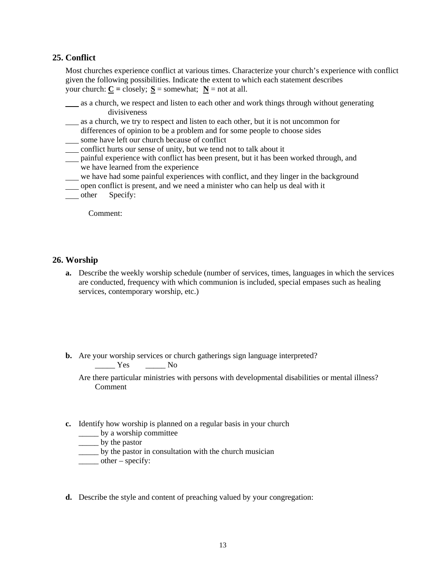### **25. Conflict**

Most churches experience conflict at various times. Characterize your church's experience with conflict given the following possibilities. Indicate the extent to which each statement describes your church:  $C = \text{closely}$ ;  $S = \text{somewhat}$ ;  $N = \text{not at all}$ .

- as a church, we respect and listen to each other and work things through without generating divisiveness
- as a church, we try to respect and listen to each other, but it is not uncommon for differences of opinion to be a problem and for some people to choose sides
- some have left our church because of conflict
- conflict hurts our sense of unity, but we tend not to talk about it
- painful experience with conflict has been present, but it has been worked through, and we have learned from the experience
- we have had some painful experiences with conflict, and they linger in the background
- open conflict is present, and we need a minister who can help us deal with it
- \_\_\_ other Specify:

Comment:

### **26. Worship**

- **a.** Describe the weekly worship schedule (number of services, times, languages in which the services are conducted, frequency with which communion is included, special empases such as healing services, contemporary worship, etc.)
- **b.** Are your worship services or church gatherings sign language interpreted? Yes No

Are there particular ministries with persons with developmental disabilities or mental illness? Comment

- **c.** Identify how worship is planned on a regular basis in your church
	- \_\_\_\_\_ by a worship committee
	- by the pastor
	- \_\_\_\_\_ by the pastor in consultation with the church musician
	- $\rule{1em}{0.15mm}$  other specify:
- **d.** Describe the style and content of preaching valued by your congregation: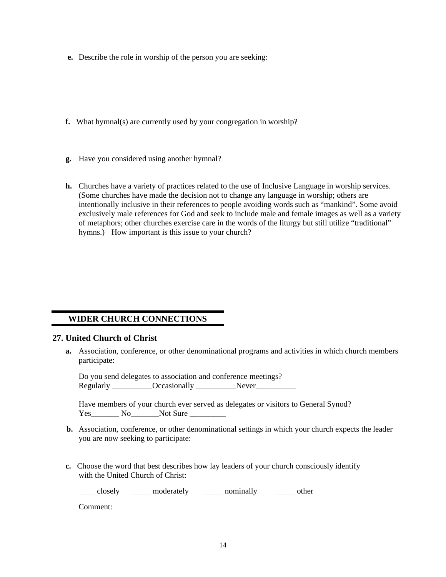- **e.** Describe the role in worship of the person you are seeking:
- **f.** What hymnal(s) are currently used by your congregation in worship?
- **g.** Have you considered using another hymnal?
- **h.** Churches have a variety of practices related to the use of Inclusive Language in worship services. (Some churches have made the decision not to change any language in worship; others are intentionally inclusive in their references to people avoiding words such as "mankind". Some avoid exclusively male references for God and seek to include male and female images as well as a variety of metaphors; other churches exercise care in the words of the liturgy but still utilize "traditional" hymns.) How important is this issue to your church?

## **WIDER CHURCH CONNECTIONS**

#### **27. United Church of Christ**

**a.** Association, conference, or other denominational programs and activities in which church members participate:

Do you send delegates to association and conference meetings? Regularly  $Occasionally$  Never

 Have members of your church ever served as delegates or visitors to General Synod? Yes No Not Sure

- **b.** Association, conference, or other denominational settings in which your church expects the leader you are now seeking to participate:
- **c.** Choose the word that best describes how lay leaders of your church consciously identify with the United Church of Christ:

closely <u>moderately</u> nominally nominally then

Comment: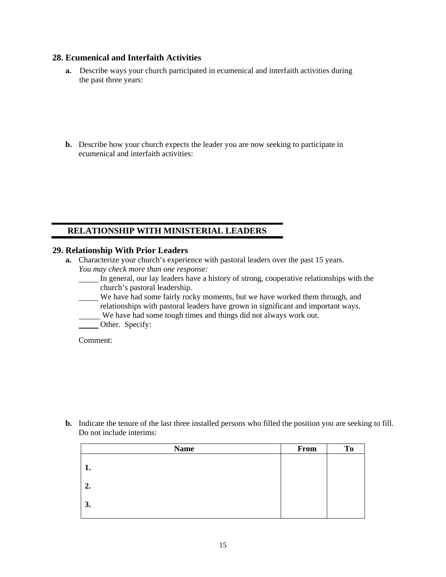## **28. Ecumenical and Interfaith Activities**

- **a.** Describe ways your church participated in ecumenical and interfaith activities during the past three years:
- **b.** Describe how your church expects the leader you are now seeking to participate in ecumenical and interfaith activities:

# **RELATIONSHIP WITH MINISTERIAL LEADERS**

### **29. Relationship With Prior Leaders**

- **a.** Characterize your church's experience with pastoral leaders over the past 15 years. *You may check more than one response:* 
	- In general, our lay leaders have a history of strong, cooperative relationships with the church's pastoral leadership.
	- We have had some fairly rocky moments, but we have worked them through, and relationships with pastoral leaders have grown in significant and important ways.
	- We have had some tough times and things did not always work out.
	- Other. Specify:

Comment:

**b.** Indicate the tenure of the last three installed persons who filled the position you are seeking to fill. Do not include interims:

| <b>Name</b> | From | <b>To</b> |
|-------------|------|-----------|
| 1.          |      |           |
| 2.          |      |           |
| 3.          |      |           |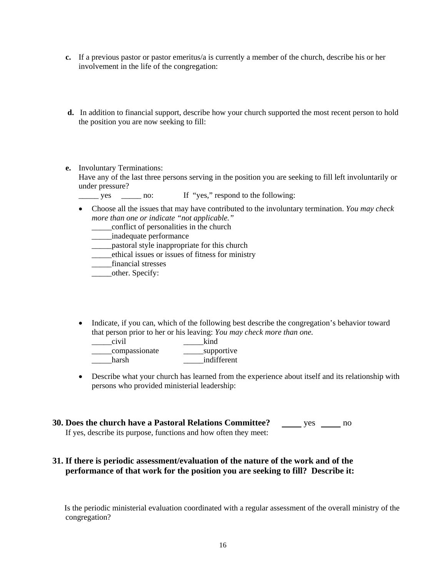- **c.** If a previous pastor or pastor emeritus/a is currently a member of the church, describe his or her involvement in the life of the congregation:
- **d.** In addition to financial support, describe how your church supported the most recent person to hold the position you are now seeking to fill:
- **e.** Involuntary Terminations:

Have any of the last three persons serving in the position you are seeking to fill left involuntarily or under pressure?

yes \_\_\_\_\_ no: If "yes," respond to the following:

• Choose all the issues that may have contributed to the involuntary termination. *You may check more than one or indicate "not applicable."*

\_\_\_\_\_conflict of personalities in the church

- \_\_\_\_\_inadequate performance
- \_\_\_\_\_pastoral style inappropriate for this church
- \_\_\_\_\_ethical issues or issues of fitness for ministry
- \_\_\_\_\_financial stresses
- \_\_\_\_\_other. Specify:
- Indicate, if you can, which of the following best describe the congregation's behavior toward that person prior to her or his leaving: *You may check more than one.*
	- \_\_\_\_\_civil \_\_\_\_\_kind
	- \_\_\_\_\_compassionate \_\_\_\_\_supportive harsh **indifferent**
- Describe what your church has learned from the experience about itself and its relationship with persons who provided ministerial leadership:
- **30. Does the church have a Pastoral Relations Committee?** yes some no If yes, describe its purpose, functions and how often they meet:

## **31. If there is periodic assessment/evaluation of the nature of the work and of the performance of that work for the position you are seeking to fill? Describe it:**

 Is the periodic ministerial evaluation coordinated with a regular assessment of the overall ministry of the congregation?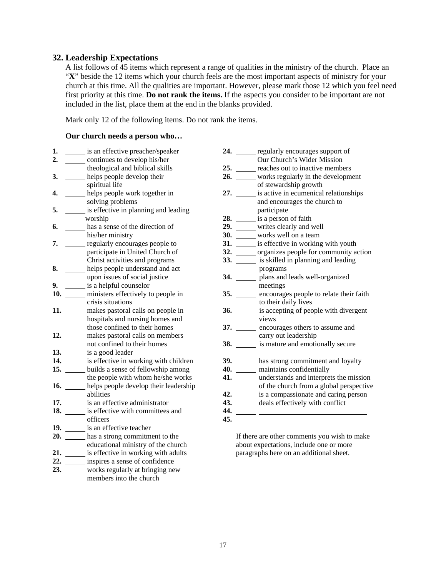### **32. Leadership Expectations**

A list follows of 45 items which represent a range of qualities in the ministry of the church. Place an "X" beside the 12 items which your church feels are the most important aspects of ministry for your church at this time. All the qualities are important. However, please mark those 12 which you feel need first priority at this time. **Do not rank the items.** If the aspects you consider to be important are not included in the list, place them at the end in the blanks provided.

Mark only 12 of the following items. Do not rank the items.

#### **Our church needs a person who…**

| 1.  | is an effective preacher/speaker                 | <b>24.</b> The same of $\overline{a}$ | regularly encourages support of                |
|-----|--------------------------------------------------|---------------------------------------|------------------------------------------------|
| 2.  | continues to develop his/her                     |                                       | Our Church's Wider Mission                     |
|     | theological and biblical skills                  | 25.                                   | reaches out to inactive members                |
| 3.  | helps people develop their                       |                                       | 26. _____ works regularly in the developmen    |
|     | spiritual life                                   |                                       | of stewardship growth                          |
| 4.  | helps people work together in                    | 27.                                   | is active in ecumenical relationship           |
|     | solving problems                                 |                                       | and encourages the church to                   |
| 5.  | is effective in planning and leading             |                                       | participate                                    |
|     | worship                                          |                                       | 28. is a person of faith                       |
| 6.  | has a sense of the direction of                  |                                       | 29. _____ writes clearly and well              |
|     | his/her ministry                                 |                                       | 30. _____ works well on a team                 |
| 7.  | regularly encourages people to                   |                                       | 31. ______ is effective in working with youth  |
|     | participate in United Church of                  |                                       | 32. ______ organizes people for community as   |
|     | Christ activities and programs                   |                                       | 33. _______ is skilled in planning and leading |
| 8.  | helps people understand and act                  |                                       | programs                                       |
|     | upon issues of social justice                    |                                       | 34. plans and leads well-organized             |
| 9.  | is a helpful counselor                           |                                       | meetings                                       |
| 10. | ministers effectively to people in               |                                       | 35. ______ encourages people to relate their f |
|     | crisis situations                                |                                       | to their daily lives                           |
|     | 11. ______ makes pastoral calls on people in     |                                       | 36. ______ is accepting of people with diverg  |
|     | hospitals and nursing homes and                  |                                       | views                                          |
|     | those confined to their homes                    |                                       | 37. _______ encourages others to assume and    |
|     | 12. makes pastoral calls on members              |                                       | carry out leadership                           |
|     | not confined to their homes                      |                                       | 38. _______ is mature and emotionally secure   |
|     | 13. _______ is a good leader                     |                                       |                                                |
|     | 14. ______ is effective in working with children |                                       | 39. has strong commitment and loyalt           |
|     | 15. ______ builds a sense of fellowship among    |                                       | 40. <u>____</u> maintains confidentially       |
|     | the people with whom he/she works                |                                       | 41. The understands and interprets the mis     |
|     | 16. _____ helps people develop their leadership  |                                       | of the church from a global perspe             |
|     | abilities                                        |                                       | 42. is a compassionate and caring pers         |
|     | 17. _______ is an effective administrator        |                                       | 43. ______ deals effectively with conflict     |
|     | 18. ______ is effective with committees and      |                                       |                                                |
|     | officers                                         |                                       |                                                |
|     | 19. ______ is an effective teacher               |                                       |                                                |
|     | 20. has a strong commitment to the               |                                       | If there are other comments you wish to m      |
|     | educational ministry of the church               |                                       | about expectations, include one or more        |
|     | 21. ______ is effective in working with adults   |                                       | paragraphs here on an additional sheet.        |
|     | 22. ______ inspires a sense of confidence        |                                       |                                                |
|     | 23. _____ works regularly at bringing new        |                                       |                                                |
|     | members into the church                          |                                       |                                                |

| 1.                                                                                                                                                                                                                                  | is an effective preacher/speaker                 |     | 24. regularly encourages support of                   |
|-------------------------------------------------------------------------------------------------------------------------------------------------------------------------------------------------------------------------------------|--------------------------------------------------|-----|-------------------------------------------------------|
| 2.                                                                                                                                                                                                                                  | continues to develop his/her                     |     | Our Church's Wider Mission                            |
|                                                                                                                                                                                                                                     | theological and biblical skills                  |     | 25. reaches out to inactive members                   |
| 3.                                                                                                                                                                                                                                  | helps people develop their                       |     | 26. works regularly in the development                |
|                                                                                                                                                                                                                                     | spiritual life                                   |     | of stewardship growth                                 |
| 4.                                                                                                                                                                                                                                  | helps people work together in                    |     | 27. _______ is active in ecumenical relationships     |
|                                                                                                                                                                                                                                     | solving problems                                 |     | and encourages the church to                          |
| 5.                                                                                                                                                                                                                                  | is effective in planning and leading             |     | participate                                           |
|                                                                                                                                                                                                                                     | worship                                          |     | 28. is a person of faith                              |
| 6.                                                                                                                                                                                                                                  | has a sense of the direction of                  |     | 29. _____ writes clearly and well                     |
|                                                                                                                                                                                                                                     | his/her ministry                                 |     | 30. works well on a team                              |
| 7.                                                                                                                                                                                                                                  | regularly encourages people to                   |     | 31. ______ is effective in working with youth         |
|                                                                                                                                                                                                                                     | participate in United Church of                  |     | 32. ______ organizes people for community action      |
|                                                                                                                                                                                                                                     | Christ activities and programs                   |     | 33. _______ is skilled in planning and leading        |
| 8.                                                                                                                                                                                                                                  | helps people understand and act                  |     | programs                                              |
|                                                                                                                                                                                                                                     | upon issues of social justice                    |     | 34. Plans and leads well-organized                    |
| 9.                                                                                                                                                                                                                                  | is a helpful counselor                           |     | meetings                                              |
| <b>10.</b> Samuel Manual Street, 1980                                                                                                                                                                                               | ministers effectively to people in               |     | 35. ______ encourages people to relate their faith    |
|                                                                                                                                                                                                                                     | crisis situations                                |     | to their daily lives                                  |
| 11.                                                                                                                                                                                                                                 | makes pastoral calls on people in                |     | 36. is accepting of people with divergent             |
|                                                                                                                                                                                                                                     | hospitals and nursing homes and                  |     | views                                                 |
|                                                                                                                                                                                                                                     | those confined to their homes                    |     | 37. <u>Containing</u> encourages others to assume and |
| <b>12.</b> The same of $\overline{a}$                                                                                                                                                                                               | makes pastoral calls on members                  |     | carry out leadership                                  |
|                                                                                                                                                                                                                                     | not confined to their homes                      |     | 38. _______ is mature and emotionally secure          |
|                                                                                                                                                                                                                                     | 13. ______ is a good leader                      |     |                                                       |
|                                                                                                                                                                                                                                     | 14. ______ is effective in working with children |     | 39. has strong commitment and loyalty                 |
|                                                                                                                                                                                                                                     | 15. builds a sense of fellowship among           |     | 40. maintains confidentially                          |
|                                                                                                                                                                                                                                     | the people with whom he/she works                |     | 41. ______ understands and interprets the mission     |
| <b>16.</b> The contract of the contract of the contract of the contract of the contract of the contract of the contract of the contract of the contract of the contract of the contract of the contract of the contract of the cont | helps people develop their leadership            |     | of the church from a global perspective               |
|                                                                                                                                                                                                                                     | abilities                                        |     | 42. is a compassionate and caring person              |
|                                                                                                                                                                                                                                     | 17. is an effective administrator                |     | 43. ______ deals effectively with conflict            |
|                                                                                                                                                                                                                                     | 18. is effective with committees and             |     |                                                       |
|                                                                                                                                                                                                                                     | officers                                         | 45. |                                                       |

If there are other comments you wish to make about expectations, include one or more paragraphs here on an additional sheet.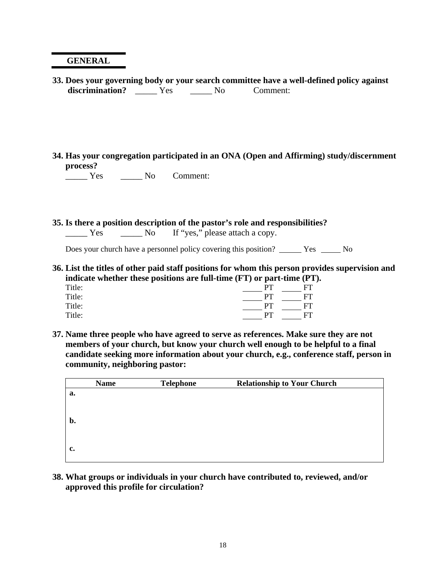## **GENERAL**

- **33. Does your governing body or your search committee have a well-defined policy against**  discrimination? \_\_\_\_\_ Yes \_\_\_\_\_ No Comment:
- **34. Has your congregation participated in an ONA (Open and Affirming) study/discernment process?**

\_\_\_\_\_ Yes \_\_\_\_\_ No Comment:

## **35. Is there a position description of the pastor's role and responsibilities?**

| Yes | No If "yes," please attach a copy. |  |
|-----|------------------------------------|--|
|     |                                    |  |

Does your church have a personnel policy covering this position? Yes No

**36. List the titles of other paid staff positions for whom this person provides supervision and indicate whether these positions are full-time (FT) or part-time (PT).** 

| Title: | PТ  | FT  |
|--------|-----|-----|
| Title: | PT. | FT. |
| Title: | PT. | FT. |
| Title: | PТ  | FT. |

**37. Name three people who have agreed to serve as references. Make sure they are not members of your church, but know your church well enough to be helpful to a final candidate seeking more information about your church, e.g., conference staff, person in community, neighboring pastor:** 

| <b>Name</b> | <b>Telephone</b> | <b>Relationship to Your Church</b> |  |
|-------------|------------------|------------------------------------|--|
| a.          |                  |                                    |  |
|             |                  |                                    |  |
|             |                  |                                    |  |
| b.          |                  |                                    |  |
|             |                  |                                    |  |
| c.          |                  |                                    |  |
|             |                  |                                    |  |

**38. What groups or individuals in your church have contributed to, reviewed, and/or approved this profile for circulation?**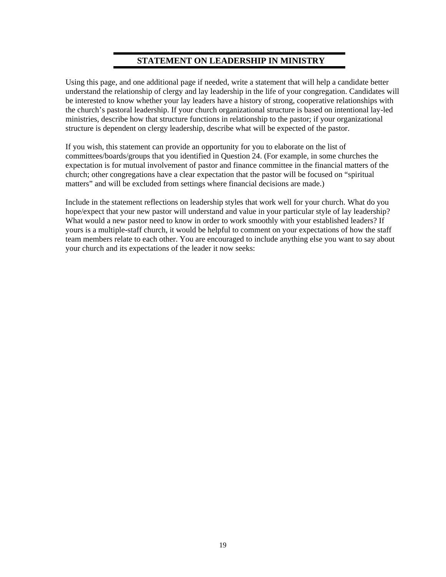# **STATEMENT ON LEADERSHIP IN MINISTRY**

Using this page, and one additional page if needed, write a statement that will help a candidate better understand the relationship of clergy and lay leadership in the life of your congregation. Candidates will be interested to know whether your lay leaders have a history of strong, cooperative relationships with the church's pastoral leadership. If your church organizational structure is based on intentional lay-led ministries, describe how that structure functions in relationship to the pastor; if your organizational structure is dependent on clergy leadership, describe what will be expected of the pastor.

If you wish, this statement can provide an opportunity for you to elaborate on the list of committees/boards/groups that you identified in Question 24. (For example, in some churches the expectation is for mutual involvement of pastor and finance committee in the financial matters of the church; other congregations have a clear expectation that the pastor will be focused on "spiritual matters" and will be excluded from settings where financial decisions are made.)

Include in the statement reflections on leadership styles that work well for your church. What do you hope/expect that your new pastor will understand and value in your particular style of lay leadership? What would a new pastor need to know in order to work smoothly with your established leaders? If yours is a multiple-staff church, it would be helpful to comment on your expectations of how the staff team members relate to each other. You are encouraged to include anything else you want to say about your church and its expectations of the leader it now seeks: